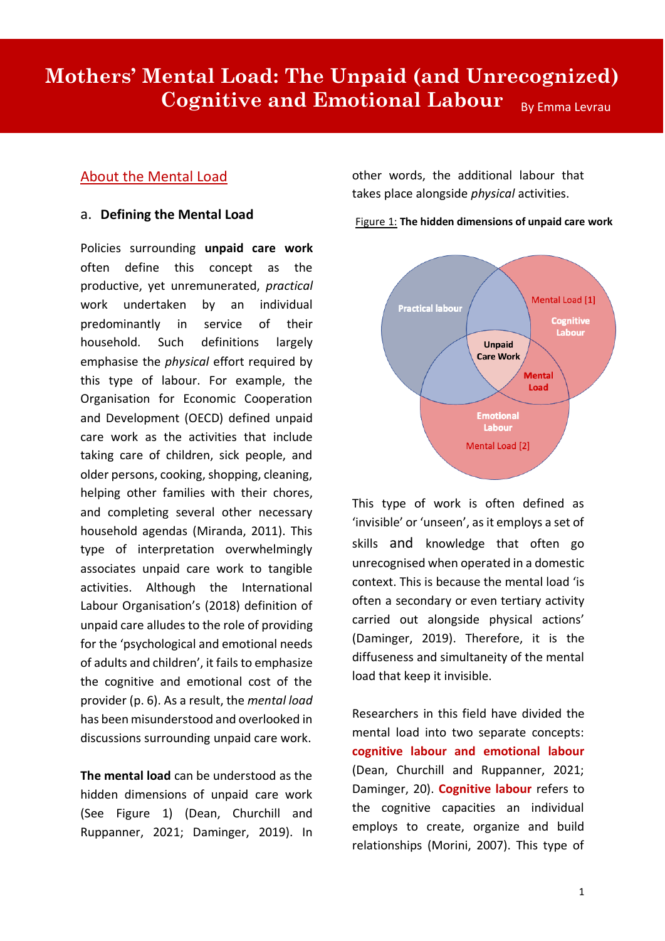# **Mothers' Mental Load: The Unpaid (and Unrecognized) Cognitive and Emotional Labour** By Emma Levrau

# About the Mental Load

## a. **Defining the Mental Load**

Policies surrounding **unpaid care work** often define this concept as the productive, yet unremunerated, *practical* work undertaken by an individual predominantly in service of their household. Such definitions largely emphasise the *physical* effort required by this type of labour. For example, the Organisation for Economic Cooperation and Development (OECD) defined unpaid care work as the activities that include taking care of children, sick people, and older persons, cooking, shopping, cleaning, helping other families with their chores, and completing several other necessary household agendas (Miranda, 2011). This type of interpretation overwhelmingly associates unpaid care work to tangible activities. Although the International Labour Organisation's (2018) definition of unpaid care alludes to the role of providing for the 'psychological and emotional needs of adults and children', it fails to emphasize the cognitive and emotional cost of the provider (p. 6). As a result, the *mental load* has been misunderstood and overlooked in discussions surrounding unpaid care work.

**The mental load** can be understood as the hidden dimensions of unpaid care work (See Figure 1) (Dean, Churchill and Ruppanner, 2021; Daminger, 2019). In

other words, the additional labour that takes place alongside *physical* activities.



Figure 1: **The hidden dimensions of unpaid care work**

This type of work is often defined as 'invisible' or 'unseen', as it employs a set of skills and knowledge that often go unrecognised when operated in a domestic context. This is because the mental load 'is often a secondary or even tertiary activity carried out alongside physical actions' (Daminger, 2019). Therefore, it is the diffuseness and simultaneity of the mental load that keep it invisible.

Researchers in this field have divided the mental load into two separate concepts: **cognitive labour and emotional labour** (Dean, Churchill and Ruppanner, 2021; Daminger, 20). **Cognitive labour** refers to the cognitive capacities an individual employs to create, organize and build relationships (Morini, 2007). This type of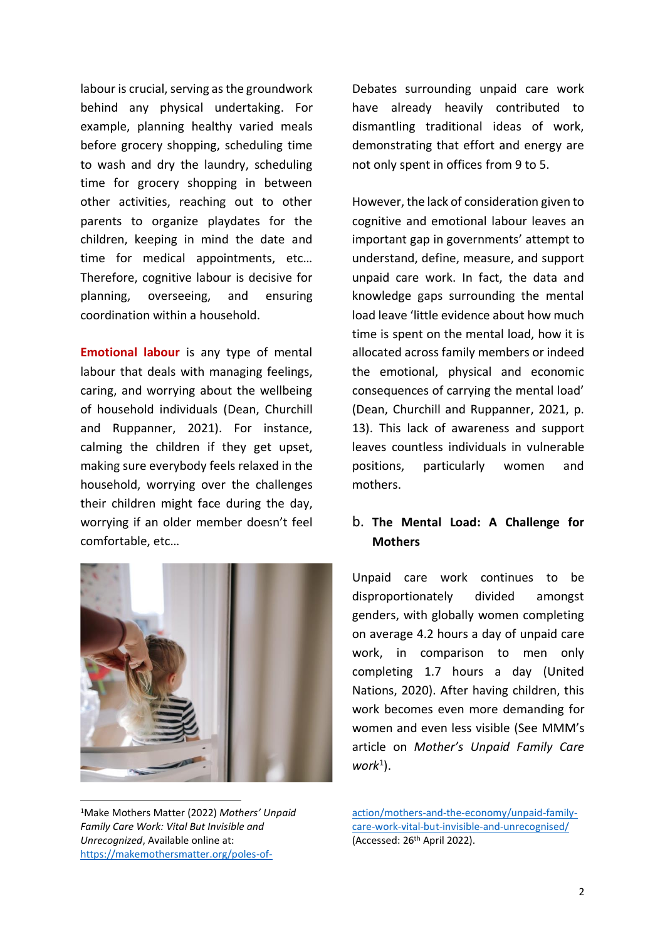labour is crucial, serving as the groundwork behind any physical undertaking. For example, planning healthy varied meals before grocery shopping, scheduling time to wash and dry the laundry, scheduling time for grocery shopping in between other activities, reaching out to other parents to organize playdates for the children, keeping in mind the date and time for medical appointments, etc… Therefore, cognitive labour is decisive for planning, overseeing, and ensuring coordination within a household.

**Emotional labour** is any type of mental labour that deals with managing feelings, caring, and worrying about the wellbeing of household individuals (Dean, Churchill and Ruppanner, 2021). For instance, calming the children if they get upset, making sure everybody feels relaxed in the household, worrying over the challenges their children might face during the day, worrying if an older member doesn't feel comfortable, etc…



<sup>1</sup>Make Mothers Matter (2022) *Mothers' Unpaid Family Care Work: Vital But Invisible and Unrecognized*, Available online at: [https://makemothersmatter.org/poles-of-](https://makemothersmatter.org/poles-of-action/mothers-and-the-economy/unpaid-family-care-work-vital-but-invisible-and-unrecognised/)

Debates surrounding unpaid care work have already heavily contributed to dismantling traditional ideas of work, demonstrating that effort and energy are not only spent in offices from 9 to 5.

However, the lack of consideration given to cognitive and emotional labour leaves an important gap in governments' attempt to understand, define, measure, and support unpaid care work. In fact, the data and knowledge gaps surrounding the mental load leave 'little evidence about how much time is spent on the mental load, how it is allocated across family members or indeed the emotional, physical and economic consequences of carrying the mental load' (Dean, Churchill and Ruppanner, 2021, p. 13). This lack of awareness and support leaves countless individuals in vulnerable positions, particularly women and mothers.

# b. **The Mental Load: A Challenge for Mothers**

Unpaid care work continues to be disproportionately divided amongst genders, with globally women completing on average 4.2 hours a day of unpaid care work, in comparison to men only completing 1.7 hours a day (United Nations, 2020). After having children, this work becomes even more demanding for women and even less visible (See MMM's article on *Mother's Unpaid Family Care work*<sup>1</sup> ).

[action/mothers-and-the-economy/unpaid-family](https://makemothersmatter.org/poles-of-action/mothers-and-the-economy/unpaid-family-care-work-vital-but-invisible-and-unrecognised/)[care-work-vital-but-invisible-and-unrecognised/](https://makemothersmatter.org/poles-of-action/mothers-and-the-economy/unpaid-family-care-work-vital-but-invisible-and-unrecognised/) (Accessed: 26th April 2022).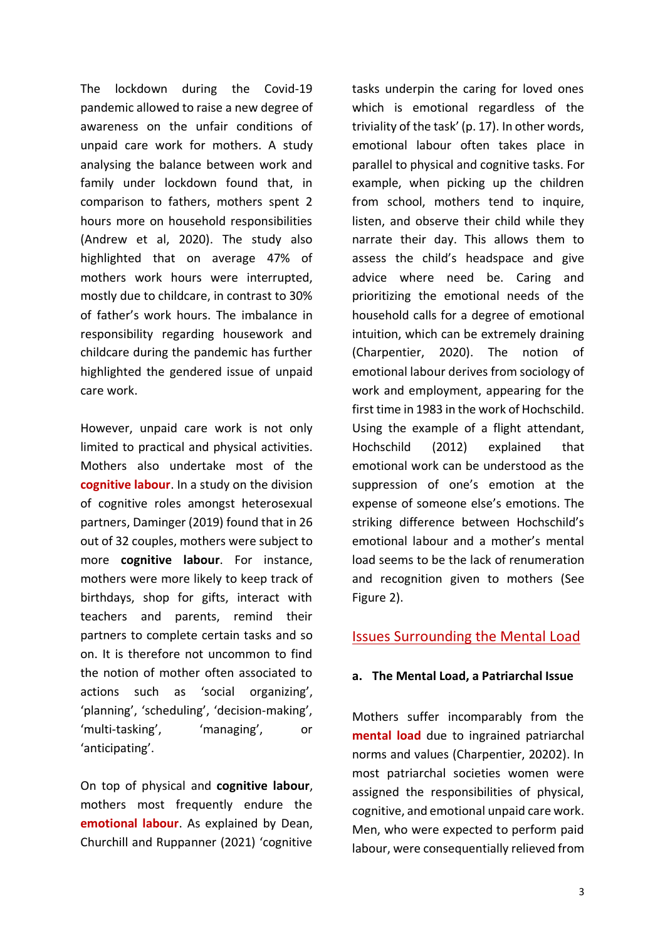The lockdown during the Covid-19 pandemic allowed to raise a new degree of awareness on the unfair conditions of unpaid care work for mothers. A study analysing the balance between work and family under lockdown found that, in comparison to fathers, mothers spent 2 hours more on household responsibilities (Andrew et al, 2020). The study also highlighted that on average 47% of mothers work hours were interrupted, mostly due to childcare, in contrast to 30% of father's work hours. The imbalance in responsibility regarding housework and childcare during the pandemic has further highlighted the gendered issue of unpaid care work.

However, unpaid care work is not only limited to practical and physical activities. Mothers also undertake most of the **cognitive labour**. In a study on the division of cognitive roles amongst heterosexual partners, Daminger (2019) found that in 26 out of 32 couples, mothers were subject to more **cognitive labour**. For instance, mothers were more likely to keep track of birthdays, shop for gifts, interact with teachers and parents, remind their partners to complete certain tasks and so on. It is therefore not uncommon to find the notion of mother often associated to actions such as 'social organizing', 'planning', 'scheduling', 'decision-making', 'multi-tasking', 'managing', or 'anticipating'.

On top of physical and **cognitive labour**, mothers most frequently endure the **emotional labour**. As explained by Dean, Churchill and Ruppanner (2021) 'cognitive tasks underpin the caring for loved ones which is emotional regardless of the triviality of the task' (p. 17). In other words, emotional labour often takes place in parallel to physical and cognitive tasks. For example, when picking up the children from school, mothers tend to inquire, listen, and observe their child while they narrate their day. This allows them to assess the child's headspace and give advice where need be. Caring and prioritizing the emotional needs of the household calls for a degree of emotional intuition, which can be extremely draining (Charpentier, 2020). The notion of emotional labour derives from sociology of work and employment, appearing for the first time in 1983 in the work of Hochschild. Using the example of a flight attendant, Hochschild (2012) explained that emotional work can be understood as the suppression of one's emotion at the expense of someone else's emotions. The striking difference between Hochschild's emotional labour and a mother's mental load seems to be the lack of renumeration and recognition given to mothers (See Figure 2).

## Issues Surrounding the Mental Load

## **a. The Mental Load, a Patriarchal Issue**

Mothers suffer incomparably from the **mental load** due to ingrained patriarchal norms and values (Charpentier, 20202). In most patriarchal societies women were assigned the responsibilities of physical, cognitive, and emotional unpaid care work. Men, who were expected to perform paid labour, were consequentially relieved from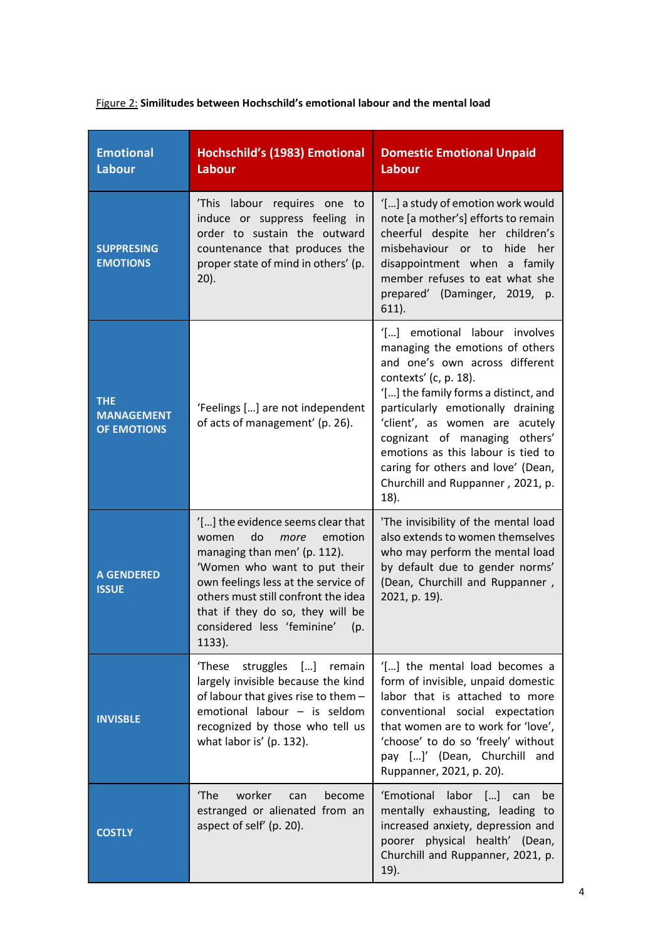| <b>Emotional</b><br><b>Labour</b>                     | Hochschild's (1983) Emotional<br>Labour                                                                                                                                                                                                                                                           | <b>Domestic Emotional Unpaid</b><br><b>Labour</b>                                                                                                                                                                                                                                                                                                                                                       |
|-------------------------------------------------------|---------------------------------------------------------------------------------------------------------------------------------------------------------------------------------------------------------------------------------------------------------------------------------------------------|---------------------------------------------------------------------------------------------------------------------------------------------------------------------------------------------------------------------------------------------------------------------------------------------------------------------------------------------------------------------------------------------------------|
| <b>SUPPRESING</b><br><b>EMOTIONS</b>                  | This labour requires one to<br>induce or suppress feeling in<br>order to sustain the outward<br>countenance that produces the<br>proper state of mind in others' (p.<br>$20$ ).                                                                                                                   | '[] a study of emotion work would<br>note [a mother's] efforts to remain<br>cheerful despite her children's<br>misbehaviour or to<br>hide her<br>disappointment when a family<br>member refuses to eat what she<br>prepared' (Daminger, 2019, p.<br>$611$ ).                                                                                                                                            |
| <b>THE</b><br><b>MANAGEMENT</b><br><b>OF EMOTIONS</b> | 'Feelings [] are not independent<br>of acts of management' (p. 26).                                                                                                                                                                                                                               | '[] emotional labour involves<br>managing the emotions of others<br>and one's own across different<br>contexts' (c, p. 18).<br>'[] the family forms a distinct, and<br>particularly emotionally draining<br>'client', as women are acutely<br>cognizant of managing others'<br>emotions as this labour is tied to<br>caring for others and love' (Dean,<br>Churchill and Ruppanner, 2021, p.<br>$18$ ). |
| <b>A GENDERED</b><br><b>ISSUE</b>                     | '[] the evidence seems clear that<br>do<br>emotion<br>women<br>more<br>managing than men' (p. 112).<br>'Women who want to put their<br>own feelings less at the service of<br>others must still confront the idea<br>that if they do so, they will be<br>considered less 'feminine' (p.<br>1133). | 'The invisibility of the mental load<br>also extends to women themselves<br>who may perform the mental load<br>by default due to gender norms'<br>(Dean, Churchill and Ruppanner,<br>2021, p. 19).                                                                                                                                                                                                      |
| <b>INVISBLE</b>                                       | 'These<br>struggles [] remain<br>largely invisible because the kind<br>of labour that gives rise to them -<br>emotional labour - is seldom<br>recognized by those who tell us<br>what labor is' (p. 132).                                                                                         | '[] the mental load becomes a<br>form of invisible, unpaid domestic<br>labor that is attached to more<br>conventional social expectation<br>that women are to work for 'love',<br>'choose' to do so 'freely' without<br>pay []' (Dean, Churchill and<br>Ruppanner, 2021, p. 20).                                                                                                                        |
| <b>COSTLY</b>                                         | worker<br>'The<br>become<br>can<br>estranged or alienated from an<br>aspect of self' (p. 20).                                                                                                                                                                                                     | 'Emotional labor []<br>can<br>be<br>mentally exhausting, leading to<br>increased anxiety, depression and<br>poorer physical health' (Dean,<br>Churchill and Ruppanner, 2021, p.<br>19).                                                                                                                                                                                                                 |

# Figure 2: **Similitudes between Hochschild's emotional labour and the mental load**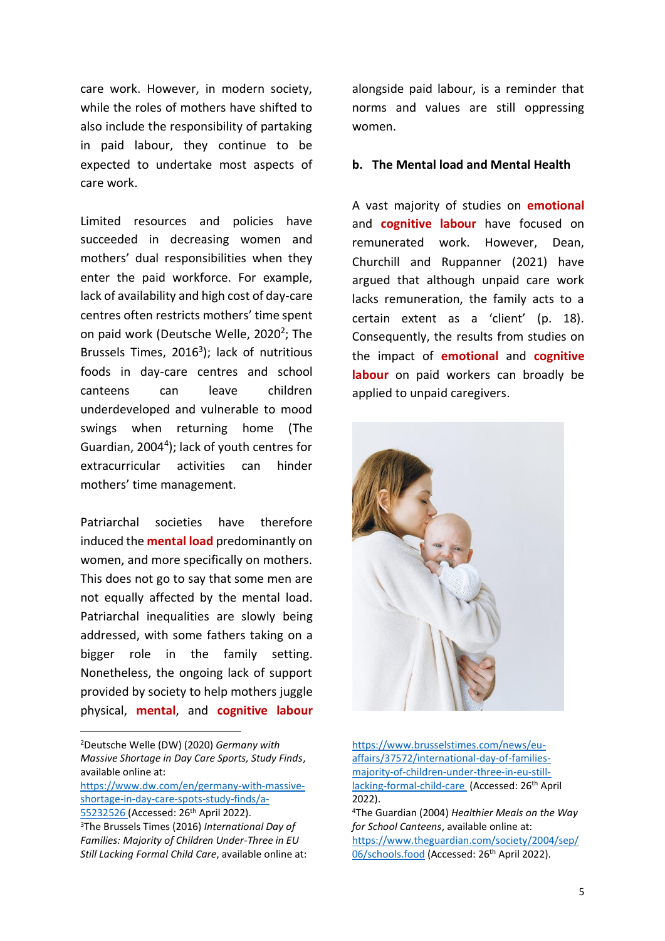care work. However, in modern society, while the roles of mothers have shifted to also include the responsibility of partaking in paid labour, they continue to be expected to undertake most aspects of care work.

Limited resources and policies have succeeded in decreasing women and mothers' dual responsibilities when they enter the paid workforce. For example, lack of availability and high cost of day-care centres often restricts mothers' time spent on paid work (Deutsche Welle, 2020<sup>2</sup>; The Brussels Times, 2016<sup>3</sup>); lack of nutritious foods in day-care centres and school canteens can leave children underdeveloped and vulnerable to mood swings when returning home (The Guardian, 2004<sup>4</sup> ); lack of youth centres for extracurricular activities can hinder mothers' time management.

Patriarchal societies have therefore induced the **mental load** predominantly on women, and more specifically on mothers. This does not go to say that some men are not equally affected by the mental load. Patriarchal inequalities are slowly being addressed, with some fathers taking on a bigger role in the family setting. Nonetheless, the ongoing lack of support provided by society to help mothers juggle physical, **mental**, and **cognitive labour**

<sup>2</sup>Deutsche Welle (DW) (2020) *Germany with Massive Shortage in Day Care Sports, Study Finds*, available online at:

[https://www.dw.com/en/germany-with-massive](https://www.dw.com/en/germany-with-massive-shortage-in-day-care-spots-study-finds/a-55232526)[shortage-in-day-care-spots-study-finds/a-](https://www.dw.com/en/germany-with-massive-shortage-in-day-care-spots-study-finds/a-55232526)

[55232526](https://www.dw.com/en/germany-with-massive-shortage-in-day-care-spots-study-finds/a-55232526) (Accessed: 26<sup>th</sup> April 2022).

alongside paid labour, is a reminder that norms and values are still oppressing women.

#### **b. The Mental load and Mental Health**

A vast majority of studies on **emotional** and **cognitive labour** have focused on remunerated work. However, Dean, Churchill and Ruppanner (2021) have argued that although unpaid care work lacks remuneration, the family acts to a certain extent as a 'client' (p. 18). Consequently, the results from studies on the impact of **emotional** and **cognitive labour** on paid workers can broadly be applied to unpaid caregivers.



[https://www.brusselstimes.com/news/eu](https://www.brusselstimes.com/news/eu-affairs/37572/international-day-of-families-majority-of-children-under-three-in-eu-still-lacking-formal-child-care)[affairs/37572/international-day-of-families](https://www.brusselstimes.com/news/eu-affairs/37572/international-day-of-families-majority-of-children-under-three-in-eu-still-lacking-formal-child-care)[majority-of-children-under-three-in-eu-still](https://www.brusselstimes.com/news/eu-affairs/37572/international-day-of-families-majority-of-children-under-three-in-eu-still-lacking-formal-child-care)[lacking-formal-child-care](https://www.brusselstimes.com/news/eu-affairs/37572/international-day-of-families-majority-of-children-under-three-in-eu-still-lacking-formal-child-care) (Accessed: 26th April 2022).

<sup>3</sup>The Brussels Times (2016) *International Day of Families: Majority of Children Under-Three in EU Still Lacking Formal Child Care*, available online at:

<sup>4</sup>The Guardian (2004) *Healthier Meals on the Way for School Canteens*, available online at: [https://www.theguardian.com/society/2004/sep/](https://www.theguardian.com/society/2004/sep/06/schools.food) [06/schools.food](https://www.theguardian.com/society/2004/sep/06/schools.food) (Accessed: 26<sup>th</sup> April 2022).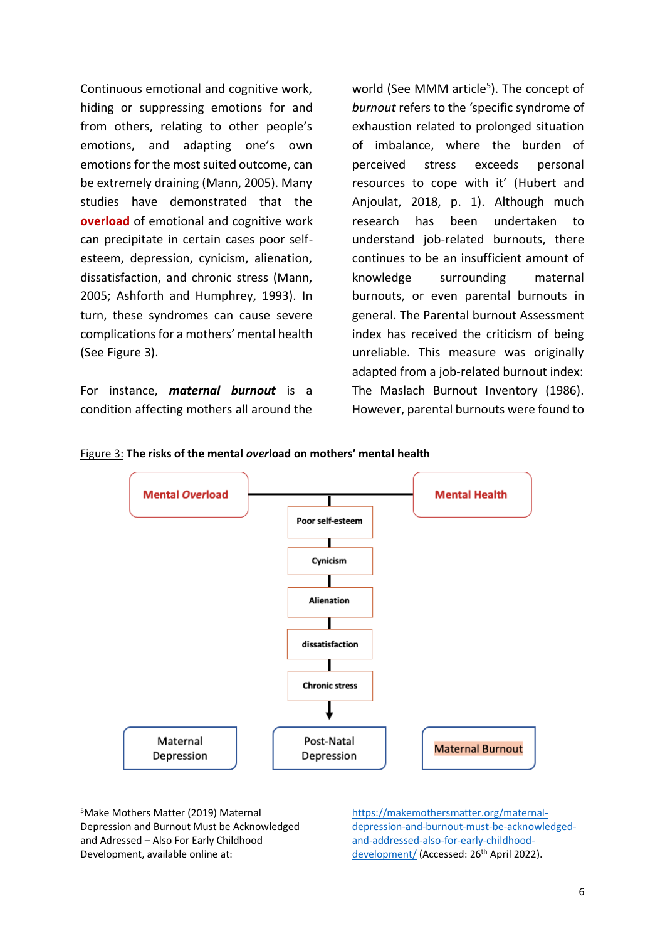Continuous emotional and cognitive work, hiding or suppressing emotions for and from others, relating to other people's emotions, and adapting one's own emotions for the most suited outcome, can be extremely draining (Mann, 2005). Many studies have demonstrated that the **overload** of emotional and cognitive work can precipitate in certain cases poor selfesteem, depression, cynicism, alienation, dissatisfaction, and chronic stress (Mann, 2005; Ashforth and Humphrey, 1993). In turn, these syndromes can cause severe complications for a mothers' mental health (See Figure 3).

For instance, *maternal burnout* is a condition affecting mothers all around the world (See MMM article<sup>5</sup>). The concept of *burnout* refers to the 'specific syndrome of exhaustion related to prolonged situation of imbalance, where the burden of perceived stress exceeds personal resources to cope with it' (Hubert and Anjoulat, 2018, p. 1). Although much research has been undertaken to understand job-related burnouts, there continues to be an insufficient amount of knowledge surrounding maternal burnouts, or even parental burnouts in general. The Parental burnout Assessment index has received the criticism of being unreliable. This measure was originally adapted from a job-related burnout index: The Maslach Burnout Inventory (1986). However, parental burnouts were found to





<sup>5</sup>Make Mothers Matter (2019) Maternal Depression and Burnout Must be Acknowledged and Adressed – Also For Early Childhood Development, available online at:

[https://makemothersmatter.org/maternal](https://makemothersmatter.org/maternal-depression-and-burnout-must-be-acknowledged-and-addressed-also-for-early-childhood-development/)[depression-and-burnout-must-be-acknowledged](https://makemothersmatter.org/maternal-depression-and-burnout-must-be-acknowledged-and-addressed-also-for-early-childhood-development/)[and-addressed-also-for-early-childhood](https://makemothersmatter.org/maternal-depression-and-burnout-must-be-acknowledged-and-addressed-also-for-early-childhood-development/)[development/](https://makemothersmatter.org/maternal-depression-and-burnout-must-be-acknowledged-and-addressed-also-for-early-childhood-development/) (Accessed: 26<sup>th</sup> April 2022).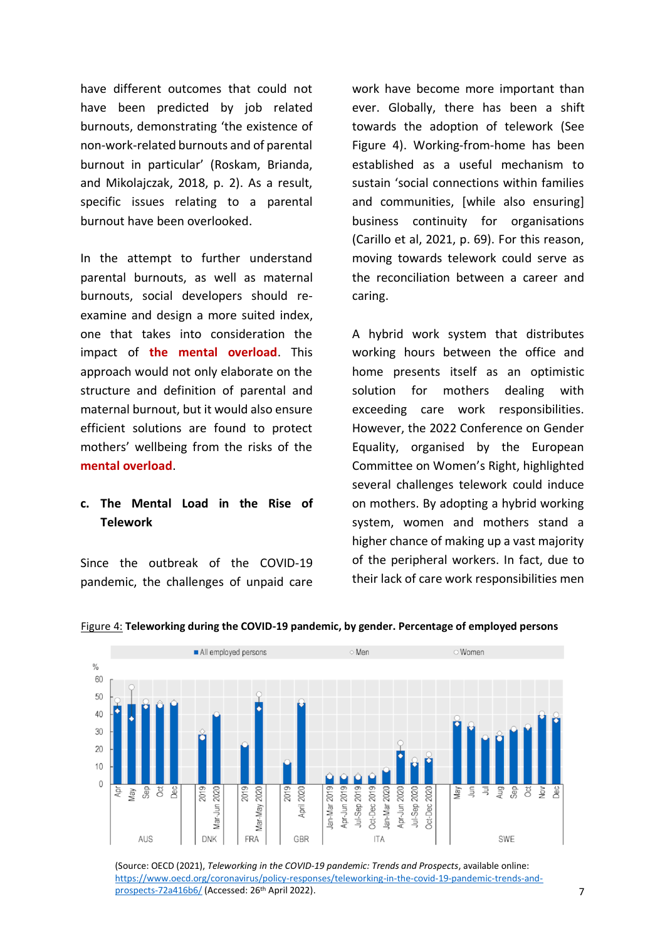have different outcomes that could not have been predicted by job related burnouts, demonstrating 'the existence of non-work-related burnouts and of parental burnout in particular' (Roskam, Brianda, and Mikolajczak, 2018, p. 2). As a result, specific issues relating to a parental burnout have been overlooked.

In the attempt to further understand parental burnouts, as well as maternal burnouts, social developers should reexamine and design a more suited index, one that takes into consideration the impact of **the mental overload**. This approach would not only elaborate on the structure and definition of parental and maternal burnout, but it would also ensure efficient solutions are found to protect mothers' wellbeing from the risks of the **mental overload**.

# **c. The Mental Load in the Rise of Telework**

Since the outbreak of the COVID-19 pandemic, the challenges of unpaid care work have become more important than ever. Globally, there has been a shift towards the adoption of telework (See Figure 4). Working-from-home has been established as a useful mechanism to sustain 'social connections within families and communities, [while also ensuring] business continuity for organisations (Carillo et al, 2021, p. 69). For this reason, moving towards telework could serve as the reconciliation between a career and caring.

A hybrid work system that distributes working hours between the office and home presents itself as an optimistic solution for mothers dealing with exceeding care work responsibilities. However, the 2022 Conference on Gender Equality, organised by the European Committee on Women's Right, highlighted several challenges telework could induce on mothers. By adopting a hybrid working system, women and mothers stand a higher chance of making up a vast majority of the peripheral workers. In fact, due to their lack of care work responsibilities men



#### Figure 4: **Teleworking during the COVID-19 pandemic, by gender. Percentage of employed persons**

<sup>(</sup>Source: OECD (2021), *Teleworking in the COVID-19 pandemic: Trends and Prospects*, available online: [https://www.oecd.org/coronavirus/policy-responses/teleworking-in-the-covid-19-pandemic-trends-and](https://www.oecd.org/coronavirus/policy-responses/teleworking-in-the-covid-19-pandemic-trends-and-prospects-72a416b6/)[prospects-72a416b6/](https://www.oecd.org/coronavirus/policy-responses/teleworking-in-the-covid-19-pandemic-trends-and-prospects-72a416b6/) (Accessed: 26th April 2022).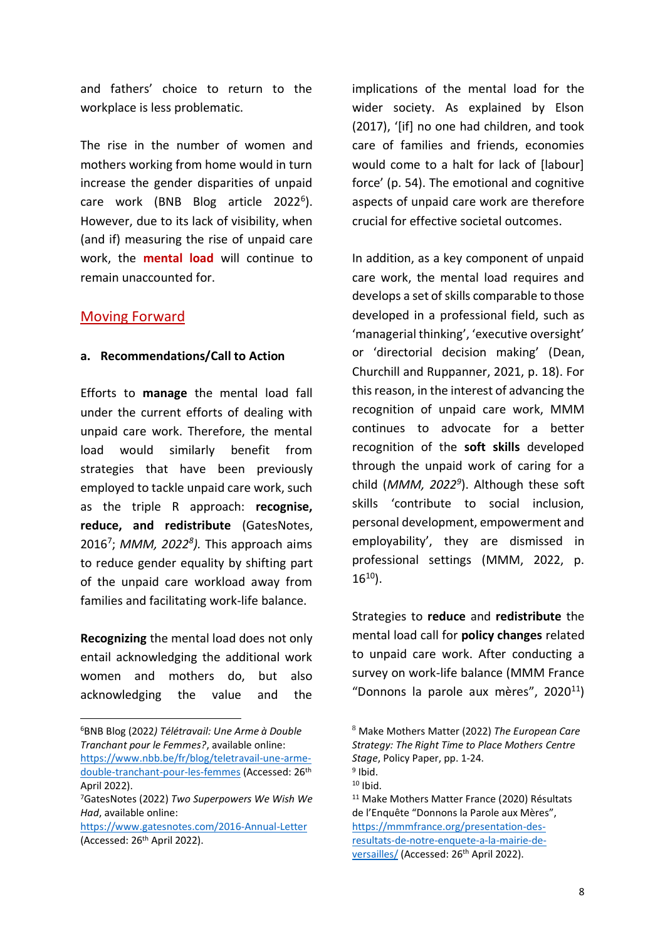and fathers' choice to return to the workplace is less problematic.

The rise in the number of women and mothers working from home would in turn increase the gender disparities of unpaid care work (BNB Blog article 2022<sup>6</sup>). However, due to its lack of visibility, when (and if) measuring the rise of unpaid care work, the **mental load** will continue to remain unaccounted for.

# Moving Forward

## **a. Recommendations/Call to Action**

Efforts to **manage** the mental load fall under the current efforts of dealing with unpaid care work. Therefore, the mental load would similarly benefit from strategies that have been previously employed to tackle unpaid care work, such as the triple R approach: **recognise, reduce, and redistribute** (GatesNotes, 2016<sup>7</sup> ; *MMM, 2022<sup>8</sup> ).* This approach aims to reduce gender equality by shifting part of the unpaid care workload away from families and facilitating work-life balance.

**Recognizing** the mental load does not only entail acknowledging the additional work women and mothers do, but also acknowledging the value and the

<sup>6</sup>BNB Blog (2022*) Télétravail: Une Arme à Double Tranchant pour le Femmes?*, available online: [https://www.nbb.be/fr/blog/teletravail-une-arme-](https://www.nbb.be/fr/blog/teletravail-une-arme-double-tranchant-pour-les-femmes)

[double-tranchant-pour-les-femmes](https://www.nbb.be/fr/blog/teletravail-une-arme-double-tranchant-pour-les-femmes) (Accessed: 26th April 2022).

implications of the mental load for the wider society. As explained by Elson (2017), '[if] no one had children, and took care of families and friends, economies would come to a halt for lack of [labour] force' (p. 54). The emotional and cognitive aspects of unpaid care work are therefore crucial for effective societal outcomes.

In addition, as a key component of unpaid care work, the mental load requires and develops a set of skills comparable to those developed in a professional field, such as 'managerial thinking', 'executive oversight' or 'directorial decision making' (Dean, Churchill and Ruppanner, 2021, p. 18). For this reason, in the interest of advancing the recognition of unpaid care work, MMM continues to advocate for a better recognition of the **soft skills** developed through the unpaid work of caring for a child (*MMM, 2022<sup>9</sup>* ). Although these soft skills 'contribute to social inclusion, personal development, empowerment and employability', they are dismissed in professional settings (MMM, 2022, p.  $16^{10}$ ).

Strategies to **reduce** and **redistribute** the mental load call for **policy changes** related to unpaid care work. After conducting a survey on work-life balance (MMM France "Donnons la parole aux mères",  $2020^{11}$ 

<sup>7</sup>GatesNotes (2022) *Two Superpowers We Wish We Had*, available online:

<https://www.gatesnotes.com/2016-Annual-Letter> (Accessed: 26th April 2022).

<sup>8</sup> Make Mothers Matter (2022) *The European Care Strategy: The Right Time to Place Mothers Centre Stage*, Policy Paper, pp. 1-24. <sup>9</sup> Ibid.

 $10$  Ibid.

<sup>11</sup> Make Mothers Matter France (2020) Résultats de l'Enquête "Donnons la Parole aux Mères", [https://mmmfrance.org/presentation-des](https://mmmfrance.org/presentation-des-resultats-de-notre-enquete-a-la-mairie-de-versailles/)[resultats-de-notre-enquete-a-la-mairie-de](https://mmmfrance.org/presentation-des-resultats-de-notre-enquete-a-la-mairie-de-versailles/)[versailles/](https://mmmfrance.org/presentation-des-resultats-de-notre-enquete-a-la-mairie-de-versailles/) (Accessed: 26<sup>th</sup> April 2022).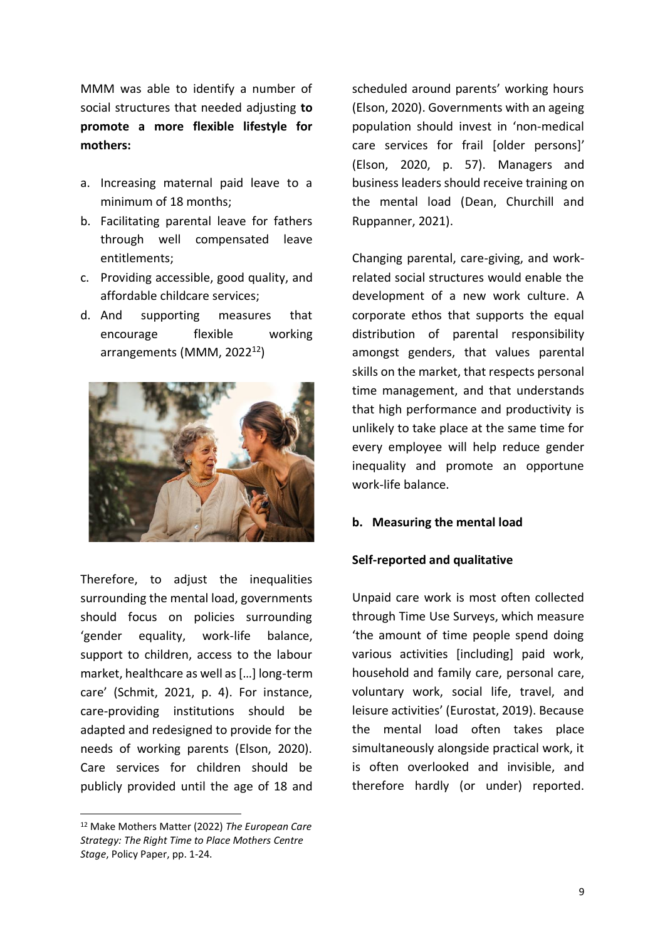MMM was able to identify a number of social structures that needed adjusting **to promote a more flexible lifestyle for mothers:**

- a. Increasing maternal paid leave to a minimum of 18 months;
- b. Facilitating parental leave for fathers through well compensated leave entitlements;
- c. Providing accessible, good quality, and affordable childcare services;
- d. And supporting measures that encourage flexible working arrangements (MMM, 2022<sup>12</sup>)



Therefore, to adjust the inequalities surrounding the mental load, governments should focus on policies surrounding 'gender equality, work-life balance, support to children, access to the labour market, healthcare as well as […] long-term care' (Schmit, 2021, p. 4). For instance, care-providing institutions should be adapted and redesigned to provide for the needs of working parents (Elson, 2020). Care services for children should be publicly provided until the age of 18 and scheduled around parents' working hours (Elson, 2020). Governments with an ageing population should invest in 'non-medical care services for frail [older persons]' (Elson, 2020, p. 57). Managers and business leaders should receive training on the mental load (Dean, Churchill and Ruppanner, 2021).

Changing parental, care-giving, and workrelated social structures would enable the development of a new work culture. A corporate ethos that supports the equal distribution of parental responsibility amongst genders, that values parental skills on the market, that respects personal time management, and that understands that high performance and productivity is unlikely to take place at the same time for every employee will help reduce gender inequality and promote an opportune work-life balance.

## **b. Measuring the mental load**

## **Self-reported and qualitative**

Unpaid care work is most often collected through Time Use Surveys, which measure 'the amount of time people spend doing various activities [including] paid work, household and family care, personal care, voluntary work, social life, travel, and leisure activities' (Eurostat, 2019). Because the mental load often takes place simultaneously alongside practical work, it is often overlooked and invisible, and therefore hardly (or under) reported.

<sup>12</sup> Make Mothers Matter (2022) *The European Care Strategy: The Right Time to Place Mothers Centre Stage*, Policy Paper, pp. 1-24.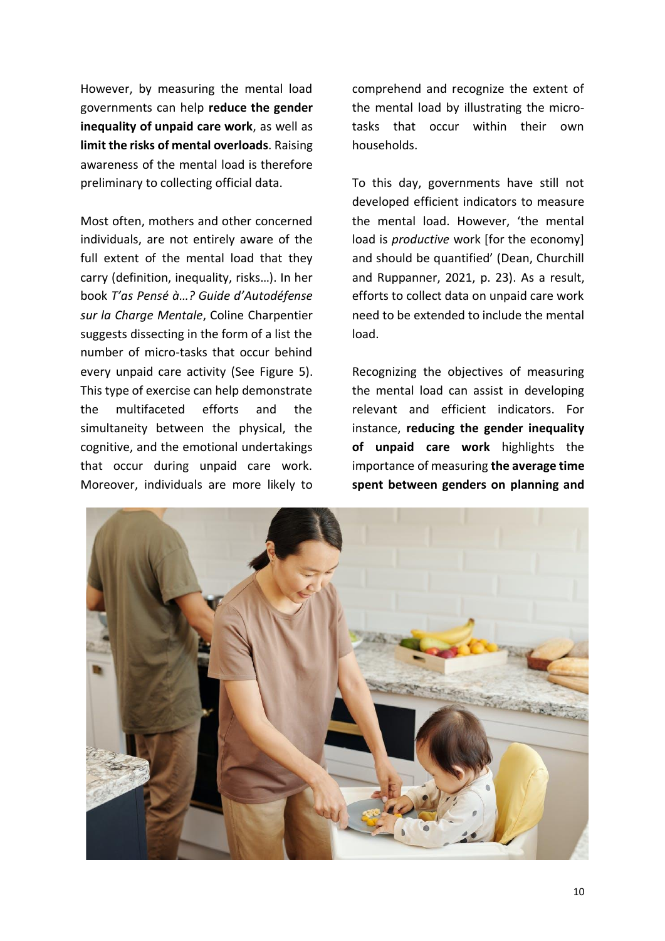However, by measuring the mental load governments can help **reduce the gender inequality of unpaid care work**, as well as **limit the risks of mental overloads**. Raising awareness of the mental load is therefore preliminary to collecting official data.

Most often, mothers and other concerned individuals, are not entirely aware of the full extent of the mental load that they carry (definition, inequality, risks…). In her book *T'as Pensé à…? Guide d'Autodéfense sur la Charge Mentale*, Coline Charpentier suggests dissecting in the form of a list the number of micro-tasks that occur behind every unpaid care activity (See Figure 5). This type of exercise can help demonstrate the multifaceted efforts and the simultaneity between the physical, the cognitive, and the emotional undertakings that occur during unpaid care work. Moreover, individuals are more likely to

comprehend and recognize the extent of the mental load by illustrating the microtasks that occur within their own households.

To this day, governments have still not developed efficient indicators to measure the mental load. However, 'the mental load is *productive* work [for the economy] and should be quantified' (Dean, Churchill and Ruppanner, 2021, p. 23). As a result, efforts to collect data on unpaid care work need to be extended to include the mental load.

Recognizing the objectives of measuring the mental load can assist in developing relevant and efficient indicators. For instance, **reducing the gender inequality of unpaid care work** highlights the importance of measuring **the average time spent between genders on planning and** 

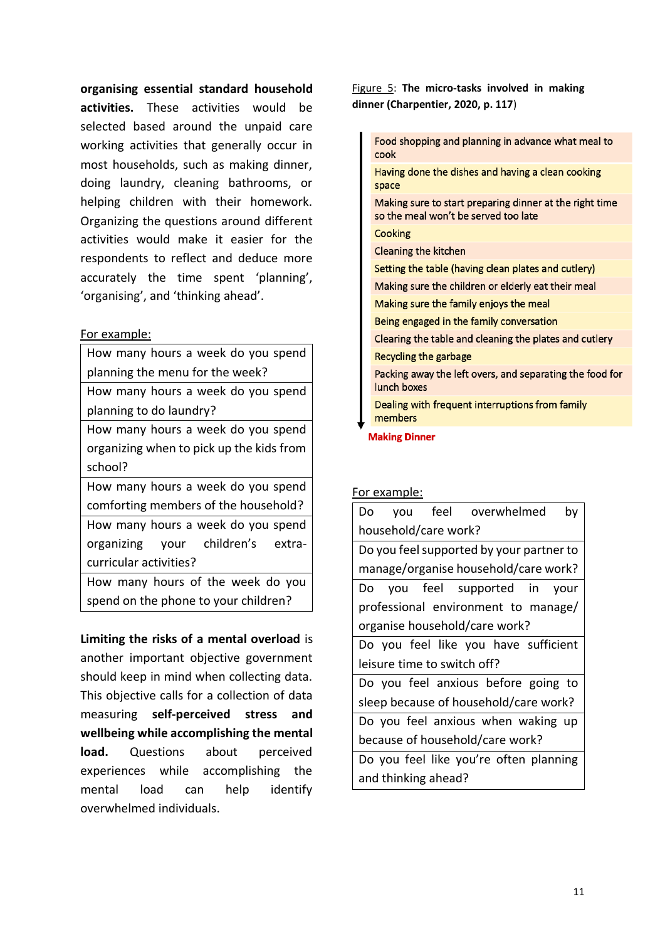**organising essential standard household activities.** These activities would be selected based around the unpaid care working activities that generally occur in most households, such as making dinner, doing laundry, cleaning bathrooms, or helping children with their homework. Organizing the questions around different activities would make it easier for the respondents to reflect and deduce more accurately the time spent 'planning', 'organising', and 'thinking ahead'.

### For example:

| How many hours a week do you spend       |  |  |
|------------------------------------------|--|--|
| planning the menu for the week?          |  |  |
| How many hours a week do you spend       |  |  |
| planning to do laundry?                  |  |  |
| How many hours a week do you spend       |  |  |
| organizing when to pick up the kids from |  |  |
| school?                                  |  |  |
| How many hours a week do you spend       |  |  |
| comforting members of the household?     |  |  |
| How many hours a week do you spend       |  |  |
| organizing your children's extra-        |  |  |
| curricular activities?                   |  |  |
| How many hours of the week do you        |  |  |
| spend on the phone to your children?     |  |  |

**Limiting the risks of a mental overload** is another important objective government should keep in mind when collecting data. This objective calls for a collection of data measuring **self-perceived stress and wellbeing while accomplishing the mental load.** Questions about perceived experiences while accomplishing the mental load can help identify overwhelmed individuals.

## Figure 5: **The micro-tasks involved in making dinner (Charpentier, 2020, p. 117**)

Food shopping and planning in advance what meal to cook Having done the dishes and having a clean cooking space Making sure to start preparing dinner at the right time so the meal won't be served too late Cooking Cleaning the kitchen Setting the table (having clean plates and cutlery) Making sure the children or elderly eat their meal Making sure the family enjoys the meal Being engaged in the family conversation Clearing the table and cleaning the plates and cutlery Recycling the garbage Packing away the left overs, and separating the food for lunch boxes Dealing with frequent interruptions from family members

**Making Dinner** 

## For example:

| Do you feel overwhelmed<br>by            |  |  |  |
|------------------------------------------|--|--|--|
| household/care work?                     |  |  |  |
| Do you feel supported by your partner to |  |  |  |
| manage/organise household/care work?     |  |  |  |
| Do you feel supported in your            |  |  |  |
| professional environment to manage/      |  |  |  |
| organise household/care work?            |  |  |  |
| Do you feel like you have sufficient     |  |  |  |
| leisure time to switch off?              |  |  |  |
| Do you feel anxious before going to      |  |  |  |
| sleep because of household/care work?    |  |  |  |
| Do you feel anxious when waking up       |  |  |  |
| because of household/care work?          |  |  |  |
| Do you feel like you're often planning   |  |  |  |
| and thinking ahead?                      |  |  |  |
|                                          |  |  |  |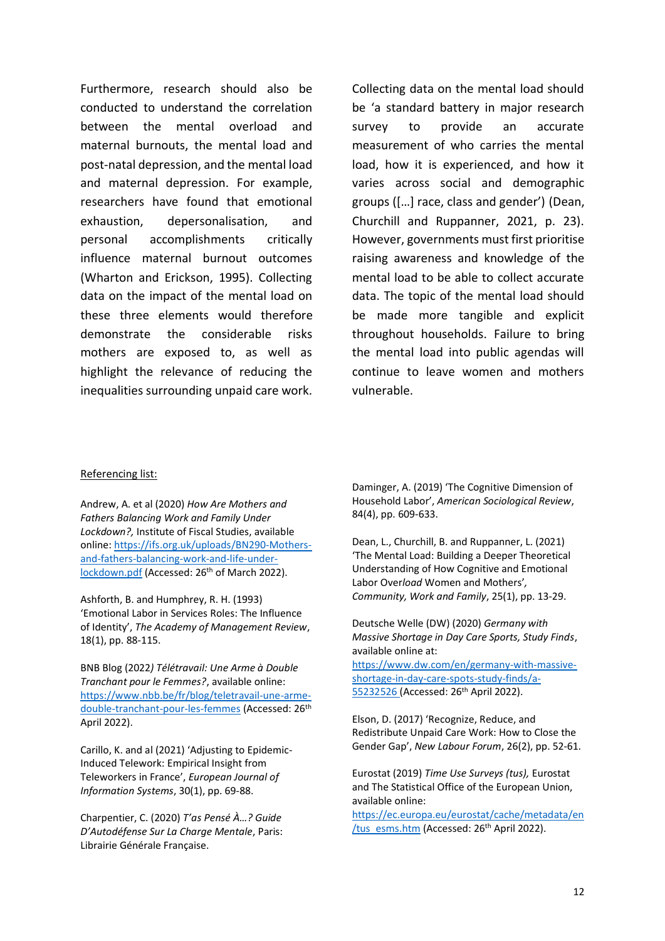Furthermore, research should also be conducted to understand the correlation between the mental overload and maternal burnouts, the mental load and post-natal depression, and the mental load and maternal depression. For example, researchers have found that emotional exhaustion, depersonalisation, and personal accomplishments critically influence maternal burnout outcomes (Wharton and Erickson, 1995). Collecting data on the impact of the mental load on these three elements would therefore demonstrate the considerable risks mothers are exposed to, as well as highlight the relevance of reducing the inequalities surrounding unpaid care work. Collecting data on the mental load should be 'a standard battery in major research survey to provide an accurate measurement of who carries the mental load, how it is experienced, and how it varies across social and demographic groups ([…] race, class and gender') (Dean, Churchill and Ruppanner, 2021, p. 23). However, governments must first prioritise raising awareness and knowledge of the mental load to be able to collect accurate data. The topic of the mental load should be made more tangible and explicit throughout households. Failure to bring the mental load into public agendas will continue to leave women and mothers vulnerable.

#### Referencing list:

Andrew, A. et al (2020) *How Are Mothers and Fathers Balancing Work and Family Under Lockdown?,* Institute of Fiscal Studies, available online: [https://ifs.org.uk/uploads/BN290-Mothers](https://ifs.org.uk/uploads/BN290-Mothers-and-fathers-balancing-work-and-life-under-lockdown.pdf)[and-fathers-balancing-work-and-life-under](https://ifs.org.uk/uploads/BN290-Mothers-and-fathers-balancing-work-and-life-under-lockdown.pdf)[lockdown.pdf](https://ifs.org.uk/uploads/BN290-Mothers-and-fathers-balancing-work-and-life-under-lockdown.pdf) (Accessed: 26<sup>th</sup> of March 2022).

Ashforth, B. and Humphrey, R. H. (1993) 'Emotional Labor in Services Roles: The Influence of Identity', *The Academy of Management Review*, 18(1), pp. 88-115.

BNB Blog (2022*) Télétravail: Une Arme à Double Tranchant pour le Femmes?*, available online: [https://www.nbb.be/fr/blog/teletravail-une-arme](https://www.nbb.be/fr/blog/teletravail-une-arme-double-tranchant-pour-les-femmes)[double-tranchant-pour-les-femmes](https://www.nbb.be/fr/blog/teletravail-une-arme-double-tranchant-pour-les-femmes) (Accessed: 26th April 2022).

Carillo, K. and al (2021) 'Adjusting to Epidemic-Induced Telework: Empirical Insight from Teleworkers in France', *European Journal of Information Systems*, 30(1), pp. 69-88.

Charpentier, C. (2020) *T'as Pensé À…? Guide D'Autodéfense Sur La Charge Mentale*, Paris: Librairie Générale Française.

Daminger, A. (2019) 'The Cognitive Dimension of Household Labor', *American Sociological Review*, 84(4), pp. 609-633.

Dean, L., Churchill, B. and Ruppanner, L. (2021) 'The Mental Load: Building a Deeper Theoretical Understanding of How Cognitive and Emotional Labor Over*load* Women and Mothers'*, Community, Work and Family*, 25(1), pp. 13-29.

Deutsche Welle (DW) (2020) *Germany with Massive Shortage in Day Care Sports, Study Finds*, available online at:

[https://www.dw.com/en/germany-with-massive](https://www.dw.com/en/germany-with-massive-shortage-in-day-care-spots-study-finds/a-55232526)[shortage-in-day-care-spots-study-finds/a-](https://www.dw.com/en/germany-with-massive-shortage-in-day-care-spots-study-finds/a-55232526)[55232526](https://www.dw.com/en/germany-with-massive-shortage-in-day-care-spots-study-finds/a-55232526) (Accessed: 26th April 2022).

Elson, D. (2017) 'Recognize, Reduce, and Redistribute Unpaid Care Work: How to Close the Gender Gap', *New Labour Forum*, 26(2), pp. 52-61.

Eurostat (2019) *Time Use Surveys (tus),* Eurostat and The Statistical Office of the European Union, available online:

[https://ec.europa.eu/eurostat/cache/metadata/en](https://ec.europa.eu/eurostat/cache/metadata/en/tus_esms.htm) [/tus\\_esms.htm](https://ec.europa.eu/eurostat/cache/metadata/en/tus_esms.htm) (Accessed: 26<sup>th</sup> April 2022).